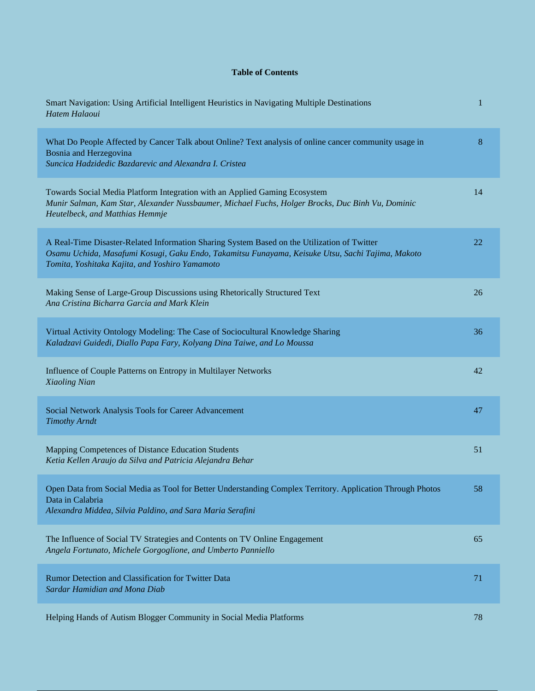## **Table of Contents**

| Smart Navigation: Using Artificial Intelligent Heuristics in Navigating Multiple Destinations<br>Hatem Halaoui                                                                                                                                    | 1       |
|---------------------------------------------------------------------------------------------------------------------------------------------------------------------------------------------------------------------------------------------------|---------|
| What Do People Affected by Cancer Talk about Online? Text analysis of online cancer community usage in<br>Bosnia and Herzegovina<br>Suncica Hadzidedic Bazdarevic and Alexandra I. Cristea                                                        | $\bf 8$ |
| Towards Social Media Platform Integration with an Applied Gaming Ecosystem<br>Munir Salman, Kam Star, Alexander Nussbaumer, Michael Fuchs, Holger Brocks, Duc Binh Vu, Dominic<br>Heutelbeck, and Matthias Hemmje                                 | 14      |
| A Real-Time Disaster-Related Information Sharing System Based on the Utilization of Twitter<br>Osamu Uchida, Masafumi Kosugi, Gaku Endo, Takamitsu Funayama, Keisuke Utsu, Sachi Tajima, Makoto<br>Tomita, Yoshitaka Kajita, and Yoshiro Yamamoto | 22      |
| Making Sense of Large-Group Discussions using Rhetorically Structured Text<br>Ana Cristina Bicharra Garcia and Mark Klein                                                                                                                         | 26      |
| Virtual Activity Ontology Modeling: The Case of Sociocultural Knowledge Sharing<br>Kaladzavi Guidedi, Diallo Papa Fary, Kolyang Dina Taiwe, and Lo Moussa                                                                                         | 36      |
| Influence of Couple Patterns on Entropy in Multilayer Networks<br>Xiaoling Nian                                                                                                                                                                   | 42      |
| Social Network Analysis Tools for Career Advancement<br><b>Timothy Arndt</b>                                                                                                                                                                      | 47      |
| Mapping Competences of Distance Education Students<br>Ketia Kellen Araujo da Silva and Patricia Alejandra Behar                                                                                                                                   | 51      |
| Open Data from Social Media as Tool for Better Understanding Complex Territory. Application Through Photos<br>Data in Calabria<br>Alexandra Middea, Silvia Paldino, and Sara Maria Serafini                                                       | 58      |
| The Influence of Social TV Strategies and Contents on TV Online Engagement<br>Angela Fortunato, Michele Gorgoglione, and Umberto Panniello                                                                                                        | 65      |
| Rumor Detection and Classification for Twitter Data<br>Sardar Hamidian and Mona Diab                                                                                                                                                              | 71      |
| Helping Hands of Autism Blogger Community in Social Media Platforms                                                                                                                                                                               | 78      |